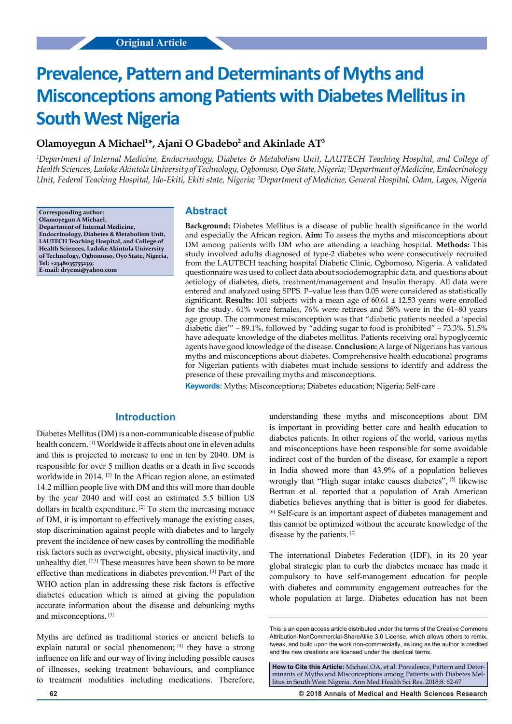# **Prevalence, Pattern and Determinants of Myths and Misconceptions among Patients with Diabetes Mellitus in South West Nigeria**

# **Olamoyegun A Michael1 \*, Ajani O Gbadebo2 and Akinlade AT3**

*1 Department of Internal Medicine, Endocrinology, Diabetes & Metabolism Unit, LAUTECH Teaching Hospital, and College of Health Sciences, Ladoke Akintola University of Technology, Ogbomoso, Oyo State, Nigeria; 2 Department of Medicine, Endocrinology Unit, Federal Teaching Hospital, Ido-Ekiti, Ekiti state, Nigeria; 3 Department of Medicine, General Hospital, Odan, Lagos, Nigeria*

**Corresponding author: Olamoyegun A Michael, Department of Internal Medicine, Endocrinology, Diabetes & Metabolism Unit, LAUTECH Teaching Hospital, and College of Health Sciences, Ladoke Akintola University of Technology, Ogbomoso, Oyo State, Nigeria, Tel: +2348035755239; E-mail: dryemi@yahoo.com**

# **Abstract**

**Background:** Diabetes Mellitus is a disease of public health significance in the world and especially the African region. **Aim:** To assess the myths and misconceptions about DM among patients with DM who are attending a teaching hospital. **Methods:** This study involved adults diagnosed of type-2 diabetes who were consecutively recruited from the LAUTECH teaching hospital Diabetic Clinic, Ogbomoso, Nigeria. A validated questionnaire was used to collect data about sociodemographic data, and questions about aetiology of diabetes, diets, treatment/management and Insulin therapy. All data were entered and analyzed using SPPS. P–value less than 0.05 were considered as statistically significant. **Results:** 101 subjects with a mean age of  $60.61 \pm 12.53$  years were enrolled for the study. 61% were females, 76% were retirees and 58% were in the 61–80 years age group. The commonest misconception was that "diabetic patients needed a 'special diabetic diet'" – 89.1%, followed by "adding sugar to food is prohibited" – 73.3%. 51.5% have adequate knowledge of the diabetes mellitus. Patients receiving oral hypoglycemic agents have good knowledge of the disease. **Conclusion:** A large of Nigerians has various myths and misconceptions about diabetes. Comprehensive health educational programs for Nigerian patients with diabetes must include sessions to identify and address the presence of these prevailing myths and misconceptions.

**Keywords:** Myths; Misconceptions; Diabetes education; Nigeria; Self-care

# **Introduction**

Diabetes Mellitus (DM) is a non-communicable disease of public health concern. [1] Worldwide it affects about one in eleven adults and this is projected to increase to one in ten by 2040. DM is responsible for over 5 million deaths or a death in five seconds worldwide in 2014.<sup>[2]</sup> In the African region alone, an estimated 14.2 million people live with DM and this will more than double by the year 2040 and will cost an estimated 5.5 billion US dollars in health expenditure.  $[2]$  To stem the increasing menace of DM, it is important to effectively manage the existing cases, stop discrimination against people with diabetes and to largely prevent the incidence of new cases by controlling the modifiable risk factors such as overweight, obesity, physical inactivity, and unhealthy diet. [2,3] These measures have been shown to be more effective than medications in diabetes prevention. [3] Part of the WHO action plan in addressing these risk factors is effective diabetes education which is aimed at giving the population accurate information about the disease and debunking myths and misconceptions. [3]

Myths are defined as traditional stories or ancient beliefs to explain natural or social phenomenon; [4] they have a strong influence on life and our way of living including possible causes of illnesses, seeking treatment behaviours, and compliance to treatment modalities including medications. Therefore,

diabetics believes anything that is bitter is good for diabetes. [6] Self-care is an important aspect of diabetes management and this cannot be optimized without the accurate knowledge of the disease by the patients. [7] The international Diabetes Federation (IDF), in its 20 year global strategic plan to curb the diabetes menace has made it compulsory to have self-management education for people with diabetes and community engagement outreaches for the whole population at large. Diabetes education has not been

understanding these myths and misconceptions about DM is important in providing better care and health education to diabetes patients. In other regions of the world, various myths and misconceptions have been responsible for some avoidable indirect cost of the burden of the disease, for example a report in India showed more than 43.9% of a population believes wrongly that "High sugar intake causes diabetes", [5] likewise Bertran et al. reported that a population of Arab American

**How to Cite this Article:** Michael OA, et al. Prevalence, Pattern and Determinants of Myths and Misconceptions among Patients with Diabetes Mellitus in South West Nigeria. Ann Med Health Sci Res. 2018;8: 62-67

**62 © 2018 Annals of Medical and Health Sciences Research** 

This is an open access article distributed under the terms of the Creative Commons Attribution‑NonCommercial‑ShareAlike 3.0 License, which allows others to remix, tweak, and build upon the work non‑commercially, as long as the author is credited and the new creations are licensed under the identical terms.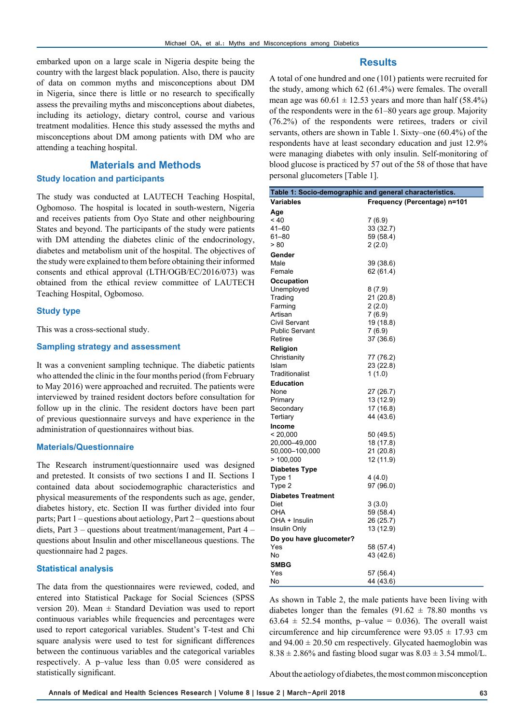embarked upon on a large scale in Nigeria despite being the country with the largest black population. Also, there is paucity of data on common myths and misconceptions about DM in Nigeria, since there is little or no research to specifically assess the prevailing myths and misconceptions about diabetes, including its aetiology, dietary control, course and various treatment modalities. Hence this study assessed the myths and misconceptions about DM among patients with DM who are attending a teaching hospital.

# **Materials and Methods Study location and participants**

The study was conducted at LAUTECH Teaching Hospital, Ogbomoso. The hospital is located in south-western, Nigeria and receives patients from Oyo State and other neighbouring States and beyond. The participants of the study were patients with DM attending the diabetes clinic of the endocrinology, diabetes and metabolism unit of the hospital. The objectives of the study were explained to them before obtaining their informed consents and ethical approval (LTH/OGB/EC/2016/073) was obtained from the ethical review committee of LAUTECH Teaching Hospital, Ogbomoso.

#### **Study type**

This was a cross-sectional study.

#### **Sampling strategy and assessment**

It was a convenient sampling technique. The diabetic patients who attended the clinic in the four months period (from February to May 2016) were approached and recruited. The patients were interviewed by trained resident doctors before consultation for follow up in the clinic. The resident doctors have been part of previous questionnaire surveys and have experience in the administration of questionnaires without bias.

#### **Materials/Questionnaire**

The Research instrument/questionnaire used was designed and pretested. It consists of two sections I and II. Sections I contained data about sociodemographic characteristics and physical measurements of the respondents such as age, gender, diabetes history, etc. Section II was further divided into four parts; Part 1 – questions about aetiology, Part 2 – questions about diets, Part 3 – questions about treatment/management, Part 4 – questions about Insulin and other miscellaneous questions. The questionnaire had 2 pages.

#### **Statistical analysis**

The data from the questionnaires were reviewed, coded, and entered into Statistical Package for Social Sciences (SPSS version 20). Mean  $\pm$  Standard Deviation was used to report continuous variables while frequencies and percentages were used to report categorical variables. Student's T-test and Chi square analysis were used to test for significant differences between the continuous variables and the categorical variables respectively. A p–value less than 0.05 were considered as statistically significant.

# **Results**

A total of one hundred and one (101) patients were recruited for the study, among which 62 (61.4%) were females. The overall mean age was  $60.61 \pm 12.53$  years and more than half (58.4%) of the respondents were in the 61–80 years age group. Majority (76.2%) of the respondents were retirees, traders or civil servants, others are shown in Table 1. Sixty–one (60.4%) of the respondents have at least secondary education and just 12.9% were managing diabetes with only insulin. Self-monitoring of blood glucose is practiced by 57 out of the 58 of those that have personal glucometers [Table 1].

| Table 1: Socio-demographic and general characteristics. |                              |  |  |
|---------------------------------------------------------|------------------------------|--|--|
| Variables                                               | Frequency (Percentage) n=101 |  |  |
| Age                                                     |                              |  |  |
| ~10                                                     | 7(6.9)                       |  |  |
| $41 - 60$                                               | 33 (32.7)                    |  |  |
| $61 - 80$                                               | 59 (58.4)                    |  |  |
| > 80                                                    | 2(2.0)                       |  |  |
| Gender                                                  |                              |  |  |
| Male                                                    | 39 (38.6)                    |  |  |
| Female                                                  | 62 (61.4)                    |  |  |
| Occupation                                              |                              |  |  |
| Unemployed                                              | 8(7.9)                       |  |  |
| Trading                                                 | 21 (20.8)                    |  |  |
| Farming                                                 | 2(2.0)                       |  |  |
| Artisan                                                 | 7(6.9)                       |  |  |
| Civil Servant                                           | 19 (18.8)                    |  |  |
| <b>Public Servant</b>                                   | 7(6.9)                       |  |  |
| Retiree                                                 | 37 (36.6)                    |  |  |
| Religion                                                |                              |  |  |
| Christianity                                            | 77 (76.2)                    |  |  |
| Islam                                                   | 23 (22.8)                    |  |  |
| Traditionalist                                          | 1(1.0)                       |  |  |
| <b>Education</b>                                        |                              |  |  |
| None                                                    | 27 (26.7)                    |  |  |
| Primary                                                 | 13 (12.9)                    |  |  |
| Secondary                                               | 17 (16.8)                    |  |  |
| Tertiary                                                | 44 (43.6)                    |  |  |
| <b>Income</b>                                           |                              |  |  |
| < 20,000                                                | 50 (49.5)                    |  |  |
| 20,000-49,000                                           | 18 (17.8)                    |  |  |
| 50,000-100,000                                          | 21 (20.8)                    |  |  |
| >100,000                                                | 12 (11.9)                    |  |  |
| <b>Diabetes Type</b>                                    |                              |  |  |
| Type 1                                                  | 4 (4.0)                      |  |  |
| Type 2                                                  | 97 (96.0)                    |  |  |
| <b>Diabetes Treatment</b>                               |                              |  |  |
| Diet                                                    | 3(3.0)                       |  |  |
| OHA<br>OHA + Insulin                                    | 59 (58.4)                    |  |  |
| Insulin Only                                            | 26 (25.7)                    |  |  |
|                                                         | 13 (12.9)                    |  |  |
| Do you have glucometer?                                 |                              |  |  |
| Yes<br>No                                               | 58 (57.4)                    |  |  |
|                                                         | 43 (42.6)                    |  |  |
| <b>SMBG</b>                                             |                              |  |  |
| Yes                                                     | 57 (56.4)                    |  |  |
| No                                                      | 44 (43.6)                    |  |  |

As shown in Table 2, the male patients have been living with diabetes longer than the females  $(91.62 \pm 78.80$  months vs 63.64  $\pm$  52.54 months, p-value = 0.036). The overall waist circumference and hip circumference were  $93.05 \pm 17.93$  cm and  $94.00 \pm 20.50$  cm respectively. Glycated haemoglobin was  $8.38 \pm 2.86\%$  and fasting blood sugar was  $8.03 \pm 3.54$  mmol/L.

About the aetiology of diabetes, the most common misconception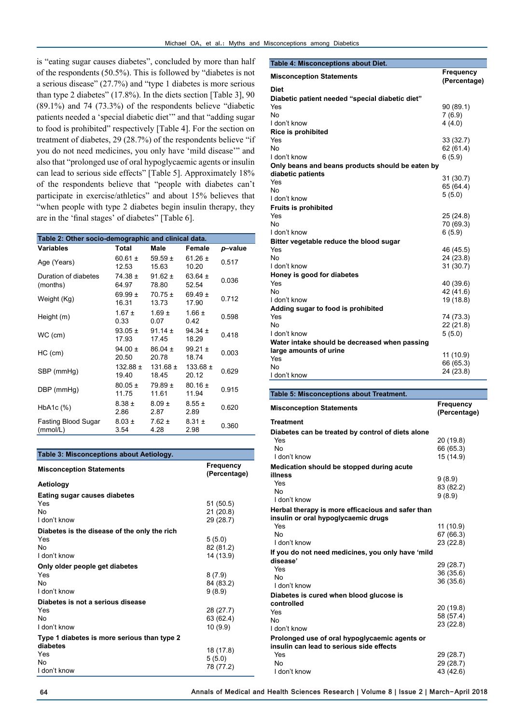is "eating sugar causes diabetes", concluded by more than half of the respondents (50.5%). This is followed by "diabetes is not a serious disease" (27.7%) and "type 1 diabetes is more serious than type 2 diabetes" (17.8%). In the diets section [Table 3], 90 (89.1%) and 74 (73.3%) of the respondents believe "diabetic patients needed a 'special diabetic diet'" and that "adding sugar to food is prohibited" respectively [Table 4]. For the section on treatment of diabetes, 29 (28.7%) of the respondents believe "if you do not need medicines, you only have 'mild disease'" and also that "prolonged use of oral hypoglycaemic agents or insulin can lead to serious side effects" [Table 5]. Approximately 18% of the respondents believe that "people with diabetes can't participate in exercise/athletics" and about 15% believes that "when people with type 2 diabetes begin insulin therapy, they are in the 'final stages' of diabetes" [Table 6].

| Table 2: Other socio-demographic and clinical data. |                       |                       |                       |         |  |
|-----------------------------------------------------|-----------------------|-----------------------|-----------------------|---------|--|
| <b>Variables</b>                                    | Total                 | Male                  | Female                | p-value |  |
| Age (Years)                                         | 60.61 $\pm$<br>12.53  | 59.59 $\pm$<br>15.63  | 61.26 $\pm$<br>10.20  | 0.517   |  |
| Duration of diabetes<br>(months)                    | $74.38 \pm$<br>64.97  | $91.62 \pm$<br>78.80  | 63.64 $\pm$<br>52.54  | 0.036   |  |
| Weight (Kg)                                         | 69.99 $\pm$<br>16.31  | $70.75 \pm$<br>13.73  | 69.49 $\pm$<br>17.90  | 0.712   |  |
| Height (m)                                          | $1.67 \pm$<br>0.33    | $1.69 \pm$<br>0.07    | $1.66 \pm$<br>0.42    | 0.598   |  |
| WC (cm)                                             | $93.05 \pm$<br>17.93  | 91.14 $\pm$<br>17.45  | $94.34 \pm$<br>18.29  | 0.418   |  |
| $HC$ (cm)                                           | $94.00 \pm$<br>20.50  | $86.04 \pm$<br>20.78  | $99.21 \pm$<br>18.74  | 0.003   |  |
| SBP (mmHq)                                          | $132.88 \pm$<br>19.40 | $131.68 \pm$<br>18.45 | $133.68 \pm$<br>20.12 | 0.629   |  |
| DBP (mmHg)                                          | $80.05 \pm$<br>11.75  | $79.89 \pm$<br>11.61  | $80.16 \pm$<br>11.94  | 0.915   |  |
| HbA1c (%)                                           | $8.38 \pm$<br>2.86    | $8.09 \pm$<br>2.87    | $8.55 \pm$<br>2.89    | 0.620   |  |
| Fasting Blood Sugar<br>(mmol/L)                     | $8.03 \pm$<br>3.54    | $7.62 \pm$<br>4.28    | $8.31 \pm$<br>2.98    | 0.360   |  |

| Table 3: Misconceptions about Aetiology.     |                                  |  |  |
|----------------------------------------------|----------------------------------|--|--|
| <b>Misconception Statements</b>              | <b>Frequency</b><br>(Percentage) |  |  |
| Aetiology                                    |                                  |  |  |
| Eating sugar causes diabetes                 |                                  |  |  |
| Yes                                          | 51 (50.5)                        |  |  |
| No                                           | 21 (20.8)                        |  |  |
| I don't know                                 | 29 (28.7)                        |  |  |
| Diabetes is the disease of the only the rich |                                  |  |  |
| Yes                                          | 5(5.0)                           |  |  |
| No                                           | 82 (81.2)                        |  |  |
| I don't know                                 | 14 (13.9)                        |  |  |
| Only older people get diabetes               |                                  |  |  |
| Yes                                          | 8(7.9)                           |  |  |
| No                                           | 84 (83.2)                        |  |  |
| I don't know                                 | 9(8.9)                           |  |  |
| Diabetes is not a serious disease            |                                  |  |  |
| Yes                                          | 28 (27.7)                        |  |  |
| No                                           | 63 (62.4)                        |  |  |
| I don't know                                 | 10(9.9)                          |  |  |
| Type 1 diabetes is more serious than type 2  |                                  |  |  |
| diabetes                                     | 18 (17.8)                        |  |  |
| Yes                                          | 5(5.0)                           |  |  |
| No                                           | 78 (77.2)                        |  |  |
| I don't know                                 |                                  |  |  |

| Table 4: Misconceptions about Diet.              |                                  |
|--------------------------------------------------|----------------------------------|
| <b>Misconception Statements</b>                  | <b>Frequency</b><br>(Percentage) |
| <b>Diet</b>                                      |                                  |
| Diabetic patient needed "special diabetic diet"  |                                  |
| Yes                                              | 90 (89.1)                        |
| N٥                                               | 7(6.9)                           |
| I don't know                                     | 4(4.0)                           |
| Rice is prohibited                               |                                  |
| Yes                                              | 33(32.7)                         |
| N٥                                               | 62(61.4)                         |
| I don't know                                     | 6(5.9)                           |
| Only beans and beans products should be eaten by |                                  |
| diabetic patients                                | 31 (30.7)                        |
| Yes                                              | 65 (64.4)                        |
| Nο<br>I don't know                               | 5(5.0)                           |
|                                                  |                                  |
| <b>Fruits is prohibited</b>                      |                                  |
| Yes                                              | 25(24.8)                         |
| N٥                                               | 70 (69.3)                        |
| I don't know                                     | 6(5.9)                           |
| Bitter vegetable reduce the blood sugar          |                                  |
| Yes                                              | 46 (45.5)                        |
| No                                               | 24 (23.8)                        |
| I don't know                                     | 31 (30.7)                        |
| Honey is good for diabetes                       |                                  |
| Yes                                              | 40 (39.6)                        |
| No                                               | 42 (41.6)                        |
| I don't know                                     | 19 (18.8)                        |
| Adding sugar to food is prohibited               |                                  |
| Yes                                              | 74 (73.3)                        |
| N٥                                               | 22(21.8)                         |
| I don't know                                     | 5(5.0)                           |
| Water intake should be decreased when passing    |                                  |
| large amounts of urine                           | 11 (10.9)                        |
| Yes                                              | 66 (65.3)                        |
| N٥                                               | 24 (23.8)                        |
| I don't know                                     |                                  |

| Table 5: Misconceptions about Treatment.                                                  |                           |  |  |
|-------------------------------------------------------------------------------------------|---------------------------|--|--|
| <b>Misconception Statements</b>                                                           | Frequency<br>(Percentage) |  |  |
| <b>Treatment</b>                                                                          |                           |  |  |
| Diabetes can be treated by control of diets alone                                         |                           |  |  |
| Yes                                                                                       | 20 (19.8)                 |  |  |
| No                                                                                        | 66 (65.3)                 |  |  |
| I don't know                                                                              | 15 (14.9)                 |  |  |
| Medication should be stopped during acute                                                 |                           |  |  |
| illness                                                                                   | 9(8.9)                    |  |  |
| Yes                                                                                       | 83 (82.2)                 |  |  |
| No                                                                                        | 9(8.9)                    |  |  |
| I don't know                                                                              |                           |  |  |
| Herbal therapy is more efficacious and safer than<br>insulin or oral hypoglycaemic drugs  |                           |  |  |
| Yes                                                                                       | 11 (10.9)                 |  |  |
| No                                                                                        | 67(66.3)                  |  |  |
| I don't know                                                                              | 23 (22.8)                 |  |  |
| If you do not need medicines, you only have 'mild                                         |                           |  |  |
| disease'                                                                                  | 29 (28.7)                 |  |  |
| Yes                                                                                       | 36 (35.6)                 |  |  |
| No                                                                                        | 36 (35.6)                 |  |  |
| I don't know                                                                              |                           |  |  |
| Diabetes is cured when blood glucose is                                                   |                           |  |  |
| controlled                                                                                | 20 (19.8)                 |  |  |
| Yes<br>No                                                                                 | 58 (57.4)                 |  |  |
| I don't know                                                                              | 23(22.8)                  |  |  |
|                                                                                           |                           |  |  |
| Prolonged use of oral hypoglycaemic agents or<br>insulin can lead to serious side effects |                           |  |  |
| Yes                                                                                       | 29 (28.7)                 |  |  |
| No                                                                                        | 29 (28.7)                 |  |  |
| I don't know                                                                              | 43 (42.6)                 |  |  |
|                                                                                           |                           |  |  |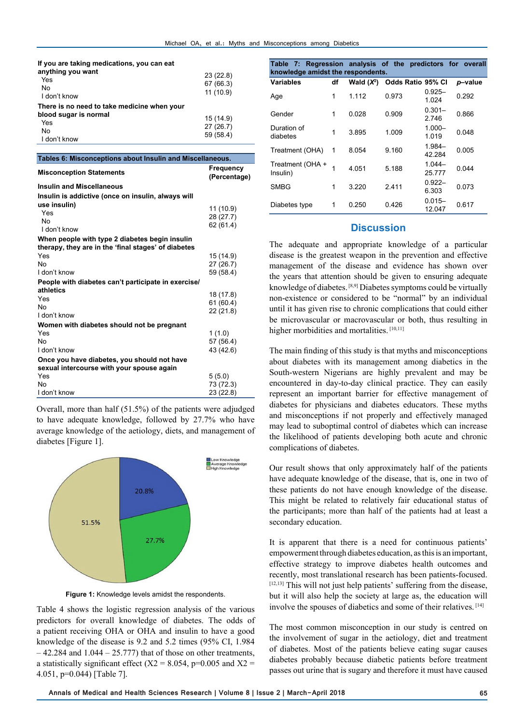| If you are taking medications, you can eat<br>anything you want |           |
|-----------------------------------------------------------------|-----------|
|                                                                 | 23(22.8)  |
| Yes                                                             | 67 (66.3) |
| No                                                              | 11(10.9)  |
| I don't know                                                    |           |
| There is no need to take medicine when your                     |           |
| blood sugar is normal                                           | 15 (14.9) |
| Yes                                                             | 27(26.7)  |
| No                                                              |           |
| I don't know                                                    | 59 (58.4) |

| Tables 6: Misconceptions about Insulin and Miscellaneous. |                           |  |  |
|-----------------------------------------------------------|---------------------------|--|--|
| <b>Misconception Statements</b>                           | Frequency<br>(Percentage) |  |  |
| <b>Insulin and Miscellaneous</b>                          |                           |  |  |
| Insulin is addictive (once on insulin, always will        |                           |  |  |
| use insulin)                                              | 11 (10.9)                 |  |  |
| Yes                                                       | 28 (27.7)                 |  |  |
| No                                                        | 62(61.4)                  |  |  |
| I don't know                                              |                           |  |  |
| When people with type 2 diabetes begin insulin            |                           |  |  |
| therapy, they are in the 'final stages' of diabetes       |                           |  |  |
| Yes                                                       | 15 (14.9)                 |  |  |
| No                                                        | 27 (26.7)                 |  |  |
| I don't know                                              | 59 (58.4)                 |  |  |
| People with diabetes can't participate in exercise/       |                           |  |  |
| athletics                                                 | 18 (17.8)                 |  |  |
| Yes                                                       | 61(60.4)                  |  |  |
| No                                                        | 22 (21.8)                 |  |  |
| I don't know                                              |                           |  |  |
| Women with diabetes should not be pregnant                |                           |  |  |
| Yes                                                       | 1(1.0)                    |  |  |
| No                                                        | 57 (56.4)                 |  |  |
| I don't know                                              | 43 (42.6)                 |  |  |
| Once you have diabetes, you should not have               |                           |  |  |
| sexual intercourse with your spouse again                 |                           |  |  |
| Yes                                                       | 5(5.0)                    |  |  |
| No                                                        | 73 (72.3)                 |  |  |
| I don't know                                              | 23 (22.8)                 |  |  |
|                                                           |                           |  |  |

Overall, more than half (51.5%) of the patients were adjudged to have adequate knowledge, followed by 27.7% who have average knowledge of the aetiology, diets, and management of diabetes [Figure 1].



**Figure 1:** Knowledge levels amidst the respondents.

Table 4 shows the logistic regression analysis of the various predictors for overall knowledge of diabetes. The odds of a patient receiving OHA or OHA and insulin to have a good knowledge of the disease is 9.2 and 5.2 times (95% CI, 1.984  $-42.284$  and  $1.044 - 25.777$ ) that of those on other treatments, a statistically significant effect ( $X2 = 8.054$ , p=0.005 and  $X2 =$ 4.051, p=0.044) [Table 7].

| Table 7: Regression analysis of the predictors for overall<br>knowledge amidst the respondents. |    |              |                   |                     |         |
|-------------------------------------------------------------------------------------------------|----|--------------|-------------------|---------------------|---------|
| Variables                                                                                       | df | Wald $(X^2)$ | Odds Ratio 95% CI |                     | p-value |
| Age                                                                                             | 1  | 1.112        | 0.973             | $0.925 -$<br>1.024  | 0.292   |
| Gender                                                                                          | 1  | 0.028        | 0.909             | $0.301 -$<br>2.746  | 0.866   |
| Duration of<br>diabetes                                                                         | 1  | 3.895        | 1.009             | $1.000 -$<br>1.019  | 0.048   |
| Treatment (OHA)                                                                                 | 1  | 8.054        | 9.160             | $1.984 -$<br>42.284 | 0.005   |
| Treatment (OHA +<br>Insulin)                                                                    | 1  | 4.051        | 5.188             | $1.044 -$<br>25.777 | 0.044   |
| <b>SMBG</b>                                                                                     | 1  | 3.220        | 2.411             | $0.922 -$<br>6.303  | 0.073   |
| Diabetes type                                                                                   | 1  | 0.250        | 0.426             | $0.015 -$<br>12.047 | 0.617   |

# **Discussion**

The adequate and appropriate knowledge of a particular disease is the greatest weapon in the prevention and effective management of the disease and evidence has shown over the years that attention should be given to ensuring adequate knowledge of diabetes. [8,9] Diabetes symptoms could be virtually non-existence or considered to be "normal" by an individual until it has given rise to chronic complications that could either be microvascular or macrovascular or both, thus resulting in higher morbidities and mortalities. [10,11]

The main finding of this study is that myths and misconceptions about diabetes with its management among diabetics in the South-western Nigerians are highly prevalent and may be encountered in day-to-day clinical practice. They can easily represent an important barrier for effective management of diabetes for physicians and diabetes educators. These myths and misconceptions if not properly and effectively managed may lead to suboptimal control of diabetes which can increase the likelihood of patients developing both acute and chronic complications of diabetes.

Our result shows that only approximately half of the patients have adequate knowledge of the disease, that is, one in two of these patients do not have enough knowledge of the disease. This might be related to relatively fair educational status of the participants; more than half of the patients had at least a secondary education.

It is apparent that there is a need for continuous patients' empowerment through diabetes education, as this is an important, effective strategy to improve diabetes health outcomes and recently, most translational research has been patients-focused. [12,13] This will not just help patients' suffering from the disease, but it will also help the society at large as, the education will involve the spouses of diabetics and some of their relatives. [14]

The most common misconception in our study is centred on the involvement of sugar in the aetiology, diet and treatment of diabetes. Most of the patients believe eating sugar causes diabetes probably because diabetic patients before treatment passes out urine that is sugary and therefore it must have caused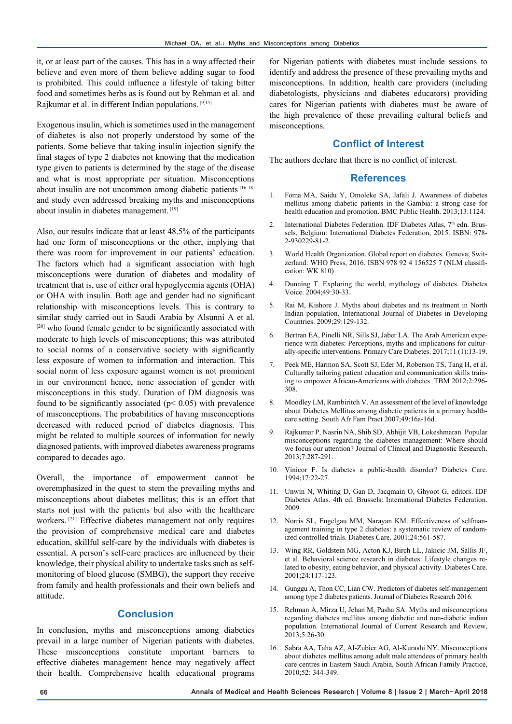it, or at least part of the causes. This has in a way affected their believe and even more of them believe adding sugar to food is prohibited. This could influence a lifestyle of taking bitter food and sometimes herbs as is found out by Rehman et al. and Rajkumar et al. in different Indian populations. [9,15]

Exogenous insulin, which is sometimes used in the management of diabetes is also not properly understood by some of the patients. Some believe that taking insulin injection signify the final stages of type 2 diabetes not knowing that the medication type given to patients is determined by the stage of the disease and what is most appropriate per situation. Misconceptions about insulin are not uncommon among diabetic patients [16-18] and study even addressed breaking myths and misconceptions about insulin in diabetes management. [19]

Also, our results indicate that at least 48.5% of the participants had one form of misconceptions or the other, implying that there was room for improvement in our patients' education. The factors which had a significant association with high misconceptions were duration of diabetes and modality of treatment that is, use of either oral hypoglycemia agents (OHA) or OHA with insulin. Both age and gender had no significant relationship with misconceptions levels. This is contrary to similar study carried out in Saudi Arabia by Alsunni A et al. [20] who found female gender to be significantly associated with moderate to high levels of misconceptions; this was attributed to social norms of a conservative society with significantly less exposure of women to information and interaction. This social norm of less exposure against women is not prominent in our environment hence, none association of gender with misconceptions in this study. Duration of DM diagnosis was found to be significantly associated ( $p$ < 0.05) with prevalence of misconceptions. The probabilities of having misconceptions decreased with reduced period of diabetes diagnosis. This might be related to multiple sources of information for newly diagnosed patients, with improved diabetes awareness programs compared to decades ago.

Overall, the importance of empowerment cannot be overemphasized in the quest to stem the prevailing myths and misconceptions about diabetes mellitus; this is an effort that starts not just with the patients but also with the healthcare workers. <sup>[21]</sup> Effective diabetes management not only requires the provision of comprehensive medical care and diabetes education, skillful self-care by the individuals with diabetes is essential. A person's self-care practices are influenced by their knowledge, their physical ability to undertake tasks such as selfmonitoring of blood glucose (SMBG), the support they receive from family and health professionals and their own beliefs and attitude.

# **Conclusion**

In conclusion, myths and misconceptions among diabetics prevail in a large number of Nigerian patients with diabetes. These misconceptions constitute important barriers to effective diabetes management hence may negatively affect their health. Comprehensive health educational programs

for Nigerian patients with diabetes must include sessions to identify and address the presence of these prevailing myths and misconceptions. In addition, health care providers (including diabetologists, physicians and diabetes educators) providing cares for Nigerian patients with diabetes must be aware of the high prevalence of these prevailing cultural beliefs and misconceptions.

### **Conflict of Interest**

The authors declare that there is no conflict of interest.

#### **References**

- 1. Foma MA, Saidu Y, Omoleke SA, Jafali J. Awareness of diabetes mellitus among diabetic patients in the Gambia: a strong case for health education and promotion. BMC Public Health. 2013;13:1124.
- 2. International Diabetes Federation. IDF Diabetes Atlas,  $7<sup>th</sup>$  edn. Brussels, Belgium: International Diabetes Federation, 2015. ISBN: 978- 2-930229-81-2.
- 3. World Health Organization. Global report on diabetes. Geneva, Switzerland: WHO Press, 2016. ISBN 978 92 4 156525 7 (NLM classification: WK 810)
- 4. Dunning T. Exploring the world, mythology of diabetes. Diabetes Voice. 2004;49:30-33.
- 5. Rai M, Kishore J. Myths about diabetes and its treatment in North Indian population. International Journal of Diabetes in Developing Countries. 2009;29:129-132.
- 6. Bertran EA, Pinelli NR, Sills SJ, Jaber LA. The Arab American experience with diabetes: Perceptions, myths and implications for culturally-specific interventions. Primary Care Diabetes. 2017;11 (1):13-19.
- 7. Peek ME, Harmon SA, Scott SJ, Eder M, Roberson TS, Tang H, et al. Culturally tailoring patient education and communication skills training to empower African-Americans with diabetes. TBM 2012;2:296- 308.
- 8. Moodley LM, Rambiritch V. An assessment of the level of knowledge about Diabetes Mellitus among diabetic patients in a primary healthcare setting. South Afr Fam Pract 2007;49:16a-16d.
- 9. Rajkumar P, Nasrin NA, Shib SD, Abhijit VB, Lokeshmaran. Popular misconceptions regarding the diabetes management: Where should we focus our attention? Journal of Clinical and Diagnostic Research. 2013;7:287-291.
- 10. Vinicor F. Is diabetes a public-health disorder? Diabetes Care. 1994;17:22-27.
- 11. Unwin N, Whiting D, Gan D, Jacqmain O, Ghyoot G, editors. IDF Diabetes Atlas. 4th ed. Brussels: International Diabetes Federation. 2009.
- 12. Norris SL, Engelgau MM, Narayan KM. Effectiveness of selfmanagement training in type 2 diabetes: a systematic review of randomized controlled trials. Diabetes Care. 2001;24:561-587.
- 13. Wing RR, Goldstein MG, Acton KJ, Birch LL, Jakicic JM, Sallis JF, et al. Behavioral science research in diabetes: Lifestyle changes related to obesity, eating behavior, and physical activity. Diabetes Care. 2001;24:117-123.
- 14. Gunggu A, Thon CC, Lian CW. Predictors of diabetes self-management among type 2 diabetes patients. Journal of Diabetes Research 2016.
- 15. Rehman A, Mirza U, Jehan M, Pasha SA. Myths and misconceptions regarding diabetes mellitus among diabetic and non-diabetic indian population. International Journal of Current Research and Review, 2013;5:26-30.
- 16. Sabra AA, Taha AZ, Al-Zubier AG, Al-Kurashi NY. Misconceptions about diabetes mellitus among adult male attendees of primary health care centres in Eastern Saudi Arabia, South African Family Practice, 2010;52: 344-349.